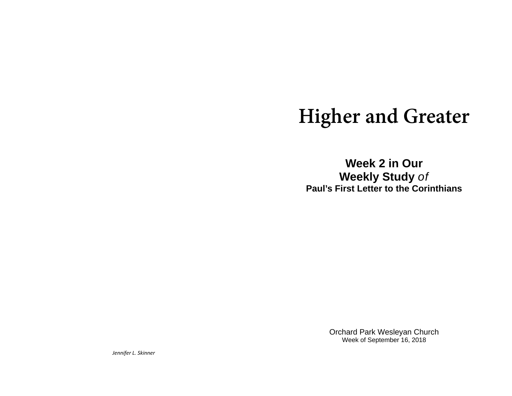# **Higher and Greater**

**Week 2 in Our Weekly Study** *of* **Paul's First Letter to the Corinthians** 

> Orchard Park Wesleyan Church Week of September 16, 2018

*Jennifer L. Skinner*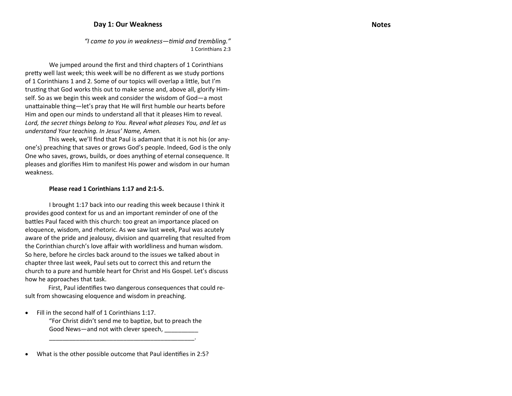## **Day 1: Our Weakness**

*"I came to you in weakness—Ɵmid and trembling."* 1 Corinthians 2:3

We jumped around the first and third chapters of 1 Corinthians pretty well last week; this week will be no different as we study portions of 1 Corinthians 1 and 2. Some of our topics will overlap a little, but I'm trusting that God works this out to make sense and, above all, glorify Himself. So as we begin this week and consider the wisdom of God—a most unattainable thing—let's pray that He will first humble our hearts before Him and open our minds to understand all that it pleases Him to reveal. *Lord, the secret things belong to You. Reveal what pleases You, and let us understand Your teaching. In Jesus' Name, Amen.*

This week, we'll find that Paul is adamant that it is not his (or anyone's) preaching that saves or grows God's people. Indeed, God is the only One who saves, grows, builds, or does anything of eternal consequence. It pleases and glorifies Him to manifest His power and wisdom in our human weakness.

### **Please read 1 Corinthians 1:17 and 2:1‐5.**

 brought 1:17 back into our reading this week because I think it provides good context for us and an important reminder of one of the battles Paul faced with this church: too great an importance placed on eloquence, wisdom, and rhetoric. As we saw last week, Paul was acutely aware of the pride and jealousy, division and quarreling that resulted from the Corinthian church's love <sup>a</sup>ffair with worldliness and human wisdom. So here, before he circles back around to the issues we talked about in chapter three last week, Paul sets out to correct this and return the church to <sup>a</sup> pure and humble heart for Christ and His Gospel. Let's discuss how he approaches that task.

First, Paul identifies two dangerous consequences that could result from showcasing eloquence and wisdom in preaching.

 $\bullet$  Fill in the second half of 1 Corinthians 1:17. "For Christ didn't send me to baptize, but to preach the Good News—and not with clever speech, **which all as a set of the set of the set of** 

\_\_\_\_\_\_\_\_\_\_\_\_\_\_\_\_\_\_\_\_\_\_\_\_\_\_\_\_\_\_\_\_\_\_\_\_\_\_\_\_\_\_\_.

 $\bullet$ What is the other possible outcome that Paul identifies in 2:5?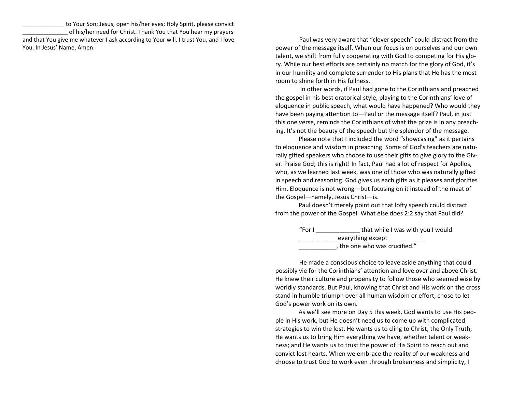to Your Son; Jesus, open his/her eyes; Holy Spirit, please convict of his/her need for Christ. Thank You that You hear my prayers and that You give me whatever I ask according to Your will. I trust You, and I love You. In Jesus' Name, Amen.

Paul was very aware that "clever speech" could distract from the power of the message itself. When our focus is on ourselves and our own talent, we shift from fully cooperating with God to competing for His glory. While our best <sup>e</sup>fforts are certainly no match for the glory of God, it's in our humility and complete surrender to His plans that He has the most room to shine forth in His fullness.

In other words, if Paul had gone to the Corinthians and preached the gospel in his best oratorical style, playing to the Corinthians' love of eloquence in public speech, what would have happened? Who would they have been paying attention to—Paul or the message itself? Paul, in just this one verse, reminds the Corinthians of what the prize is in any preaching. It's not the beauty of the speech but the splendor of the message.

Please note that I included the word "showcasing" as it pertains to eloquence and wisdom in preaching. Some of God's teachers are naturally gifted speakers who choose to use their gifts to give glory to the Giver. Praise God; this is right! In fact, Paul had <sup>a</sup> lot of respect for Apollos, who, as we learned last week, was one of those who was naturally gifted in speech and reasoning. God gives us each gifts as it pleases and glorifies Him. Eloquence is not wrong—but focusing on it instead of the meat of the Gospel—namely, Jesus Christ—is.

Paul doesn't merely point out that lofty speech could distract from the power of the Gospel. What else does 2:2 say that Paul did?

| "For $\mathsf I$ | that while I was with you I would |
|------------------|-----------------------------------|
|                  | everything except                 |
|                  | , the one who was crucified."     |

He made <sup>a</sup> conscious choice to leave aside anything that could possibly vie for the Corinthians' attention and love over and above Christ. He knew their culture and propensity to follow those who seemed wise by worldly standards. But Paul, knowing that Christ and His work on the cross stand in humble triumph over all human wisdom or <sup>e</sup>ffort, chose to let God's power work on its own.

As we'll see more on Day 5 this week, God wants to use His people in His work, but He doesn't need us to come up with complicated strategies to win the lost. He wants us to cling to Christ, the Only Truth; He wants us to bring Him everything we have, whether talent or weakness; and He wants us to trust the power of His Spirit to reach out and convict lost hearts. When we embrace the reality of our weakness and choose to trust God to work even through brokenness and simplicity, I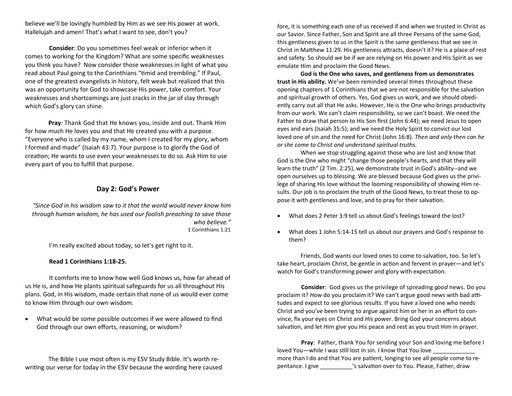believe we'll be lovingly humbled by Him as we see His power at work. Hallelujah and amen! That's what I want to see, don't you?

**Consider**: Do you sometimes feel weak or inferior when it comes to working for the Kingdom? What are some specific weaknesses you think you have? Now consider those weaknesses in light of what you read about Paul going to the Corinthians "timid and trembling." If Paul, one of the greatest evangelists in history, felt weak but realized that this was an opportunity for God to showcase His power, take comfort. Your weaknesses and shortcomings are just cracks in the jar of clay through which God's glory can shine.

**Pray**: Thank God that He knows you, inside and out. Thank Him for how much He loves you and that He created you with <sup>a</sup> purpose. "Everyone who is called by my name, whom I created for my glory, whom formed and made" (Isaiah 43:7). Your purpose is to glorify the God of creation; He wants to use even your weaknesses to do so. Ask Him to use every part of you to fulfill that purpose.

## **Day 2: God's Power**

*"Since God in his wisdom saw to it that the world would never know him through human wisdom, he has used our foolish preaching to save those who believe."* 1 Corinthians 1:21

I'm really excited about today, so let's get right to it.

#### **Read 1 Corinthians 1:18‐25.**

It comforts me to know how well God knows us, how far ahead of us He is, and how He plants spiritual safeguards for us all throughout His plans. God, in His wisdom, made certain that none of us would ever come to know Him through our own wisdom.

 $\bullet$  What would be some possible outcomes if we were allowed to find God through our own <sup>e</sup>fforts, reasoning, or wisdom?

The Bible I use most often is my ESV Study Bible. It's worth rewriting our verse for today in the ESV because the wording here caused fore, it is something each one of us received if and when we trusted in Christ as our Savior. Since Father, Son and Spirit are all three Persons of the same God, this gentleness given to us in the Spirit is the same gentleness that we see in Christ in Matthew 11:29. His gentleness attracts, doesn't it? He is a place of rest and safety. So should we be if we are relying on His power and His Spirit as we emulate Him and proclaim the Good News.

**God is the One who saves, and gentleness from us demonstrates trust in His ability.** We've been reminded several Ɵmes throughout these opening chapters of 1 Corinthians that we are not responsible for the salvation and spiritual growth of others. Yes, God gives us work, and we should obediently carry out all that He asks. However, He is the One who brings productivity from our work. We can't claim responsibility, so we can't boast. We need the Father to draw that person to His Son first (John 6:44); we need Jesus to open eyes and ears (Isaiah 35:5); and we need the Holy Spirit to convict our lost loved one of sin and the need for Christ (John 16:8). *Then and only then can he or she come to Christ and understand spiritual truths.*

When we stop struggling against those who are lost and know that God is the One who might "change those people's hearts, and that they will learn the truth" (2 Tim. 2:25), we demonstrate trust in God's ability--and we open ourselves up to blessing. We are blessed because God gives us the privilege of sharing His love without the looming responsibility of showing Him results. Our job is to proclaim the truth of the Good News, to treat those to oppose it with gentleness and love, and to pray for their salvation.

- $\bullet$ What does 2 Peter 3:9 tell us about God's feelings toward the lost?
- $\bullet$  What does 1 John 5:14-15 tell us about our prayers and God's response to them?

Friends, God wants our loved ones to come to salvation, too. So let's take heart, proclaim Christ, be gentle in action and fervent in prayer—and let's watch for God's transforming power and glory with expectation.

**Consider**: God gives us the privilege of spreading *good* news. Do you proclaim it? *How* do you proclaim it? We can't argue good news with bad attitudes and expect to see glorious results. If you have <sup>a</sup> loved one who needs Christ and you've been trying to argue against him or her in an <sup>e</sup>ffort to convince, fix your eyes on Christ and *His* power. Bring God your concerns about salvation, and let Him give you His peace and rest as you trust Him in prayer.

**Pray**: Father, thank You for sending your Son and loving me before I loved You—while I was <sup>s</sup>Ɵll lost in sin. I know that You love more than I do and that You are patient, longing to see all people come to repentance. I give \_\_\_\_\_\_\_\_\_'s salvation over to You. Please, Father, draw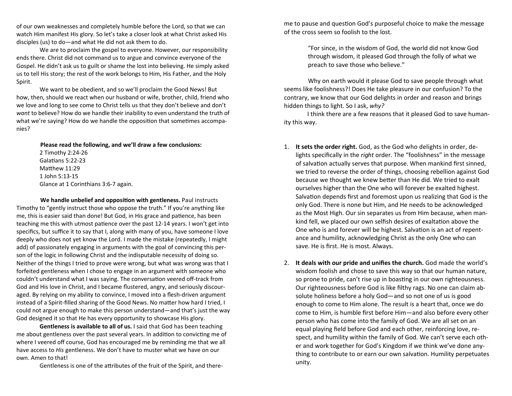of our own weaknesses and completely humble before the Lord, so that we can watch Him manifest His glory. So let's take <sup>a</sup> closer look at what Christ asked His disciples (us) to do—and what He did not ask them to do.

We are to proclaim the gospel to everyone. However, our responsibility ends there. Christ did not command us to argue and convince everyone of the Gospel. He didn't ask us to guilt or shame the lost into believing. He simply asked us to tell His story; the rest of the work belongs to Him, His Father, and the Holy Spirit.

We want to be obedient, and so we'll proclaim the Good News! But how, then, should we react when our husband or wife, brother, child, friend who we love and long to see come to Christ tells us that they don't believe and don't *want* to believe? How do we handle their inability to even understand the truth of what we're saying? How do we handle the opposition that sometimes accompanies?

> **Please read the following, and we'll draw <sup>a</sup> few conclusions:** 2 Timothy 2:24-26 GalaƟans 5:22-23Matthew 11:29 1 John 5:13-15 Glance at 1 Corinthians 3:6-7 again.

**We handle unbelief and opposi Ɵon with gentleness.** Paul instructs Timothy to "gently instruct those who oppose the truth." If you're anything like me, this is easier said than done! But God, in His grace and patience, has been teaching me this with utmost patience over the past 12-14 years. I won't get into specifics, but su ffice it to say that I, along with many of you, have someone I love deeply who does not yet know the Lord. I made the mistake (repeatedly, I might add) of passionately engaging in arguments with the goal of convincing this person of the logic in following Christ and the indisputable necessity of doing so. Neither of the things I tried to prove were wrong, but what was wrong was that I forfeited gentleness when I chose to engage in an argument with someone who couldn't understand what I was saying. The conversation veered off-track from God and His love in Christ, and I became flustered, angry, and seriously discouraged. By relying on my ability to convince, I moved into <sup>a</sup> flesh-driven argument instead of a Spirit-filled sharing of the Good News. No matter how hard I tried, I could not argue enough to make this person understand—and that's just the way God designed it so that He has every opportunity to showcase His glory.

**Gentleness is available to all of us.** I said that God has been teaching me about gentleness over the past several years. In addition to convicting me of where I veered <sup>o</sup>ff course, God has encouraged me by reminding me that we all have access to *His* gentleness. We don't have to muster what we have on our own. Amen to that!

Gentleness is one of the attributes of the fruit of the Spirit, and there-

me to pause and question God's purposeful choice to make the message of the cross seem so foolish to the lost.

> "For since, in the wisdom of God, the world did not know God through wisdom, it pleased God through the folly of what we preach to save those who believe."

Why on earth would it please God to save people through what seems like foolishness?! Does He take pleasure in our confusion? To the contrary, we know that our God delights in order and reason and brings hidden things to light. So I ask, *why?*

 think there are <sup>a</sup> few reasons that it pleased God to save humanity this way.

- 1. **It sets the order right.** God, as the God who delights in order, delights speci fically in the *right* order. The "foolishness" in the message of salvation actually serves that purpose. When mankind first sinned, we tried to reverse the order of things, choosing rebellion against God because we thought we knew better than He did. We tried to exalt ourselves higher than the One who will forever be exalted highest. Salvation depends first and foremost upon us realizing that God is the only God. There is none but Him, and He needs to be acknowledged as the Most High. Our sin separates us from Him because, when mankind fell, we placed our own selfish desires of exaltation above the One who is and forever will be highest. Salvation is an act of repentance and humility, acknowledging Christ as the only One who can save. He is first. He is most. Always.
- 2. **It deals with our pride and uni fies the church.** God made the world's wisdom foolish and chose to save this way so that our human nature, so prone to pride, can't rise up in boasting in our own righteousness. Our righteousness before God is like filthy rags. No one can claim absolute holiness before <sup>a</sup> holy God—and so not one of us is good enough to come to Him alone. The result is <sup>a</sup> heart that, once we do come to Him, is humble first before Him—and also before every other person who has come into the family of God. We are all set on an equal playing field before God and each other, reinforcing love, respect, and humility within the family of God. We can't serve each other and work together for God's Kingdom if we think we've done anything to contribute to or earn our own salvation. Humility perpetuates unity.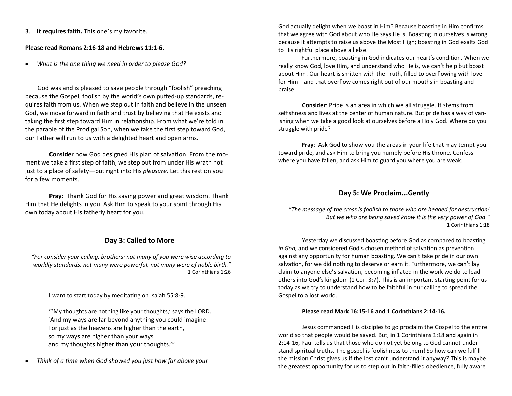3. **It requires faith.** This one's my favorite.

## **Please read Romans 2:16‐18 and Hebrews 11:1‐6.**

 $\bullet$ *What is the one thing we need in order to please God?*

God was and is pleased to save people through "foolish" preaching because the Gospel, foolish by the world's own puffed-up standards, requires faith from us. When we step out in faith and believe in the unseen God, we move forward in faith and trust by believing that He exists and taking the first step toward Him in relationship. From what we're told in the parable of the Prodigal Son, when we take the first step toward God, our Father will run to us with <sup>a</sup> delighted heart and open arms.

**Consider** how God designed His plan of salvation. From the moment we take <sup>a</sup> first step of faith, we step out from under His wrath not just to <sup>a</sup> place of safety—but right into His *pleasure*. Let this rest on you for a few moments.

**Pray:** Thank God for His saving power and great wisdom. Thank Him that He delights in you. Ask Him to speak to your spirit through His own today about His fatherly heart for you.

# **Day 3: Called to More**

*"For consider your calling, brothers: not many of you were wise according to worldly standards, not many were powerful, not many were of noble birth."* 1 Corinthians 1:26

II want to start today by meditating on Isaiah 55:8-9.

"'My thoughts are nothing like your thoughts,' says the LORD. 'And my ways are far beyond anything you could imagine. For just as the heavens are higher than the earth, so my ways are higher than your ways and my thoughts higher than your thoughts.'"

 $\bullet$ *Think of <sup>a</sup> Ɵme when God showed you just how far above your* God actually delight when we boast in Him? Because boasting in Him confirms that we agree with God about who He says He is. Boasting in ourselves is wrong because it attempts to raise us above the Most High; boasting in God exalts God to His rightful place above all else.

Furthermore, boasting in God indicates our heart's condition. When we really know God, love Him, and understand who He is, we can't help but boast about Him! Our heart is smitten with the Truth, filled to overflowing with love for Him—and that overflow comes right out of our mouths in boasting and praise.

**Consider**: Pride is an area in which we all struggle. It stems from selfishness and lives at the center of human nature. But pride has <sup>a</sup> way of vanishing when we take <sup>a</sup> good look at ourselves before <sup>a</sup> Holy God. Where do you struggle with pride?

**Pray**: Ask God to show you the areas in your life that may tempt you toward pride, and ask Him to bring you humbly before His throne. Confess where you have fallen, and ask Him to guard you where you are weak.

## **Day 5: We Proclaim...Gently**

*"The message of the cross is foolish to those who are headed for destrucƟon! But we who are being saved know it is the very power of God."* 1 Corinthians 1:18

Yesterday we discussed boasting before God as compared to boasting *in God,* and we considered God's chosen method of salvation as prevention against any opportunity for human boasting. We can't take pride in our own salvation, for we did nothing to deserve or earn it. Furthermore, we can't lay claim to anyone else's salvation, becoming inflated in the work we do to lead others into God's kingdom (1 Cor. 3:7). This is an important starting point for us today as we try to understand how to be faithful in our calling to spread the Gospel to <sup>a</sup> lost world.

## **Please read Mark 16:15‐16 and 1 Corinthians 2:14‐16.**

Jesus commanded His disciples to go proclaim the Gospel to the entire world so that people would be saved. But, in 1 Corinthians 1:18 and again in 2:14-16, Paul tells us that those who do not yet belong to God cannot understand spiritual truths. The gospel is foolishness to them! So how can we fulfill the mission Christ gives us if the lost can't understand it anyway? This is maybe the greatest opportunity for us to step out in faith-filled obedience, fully aware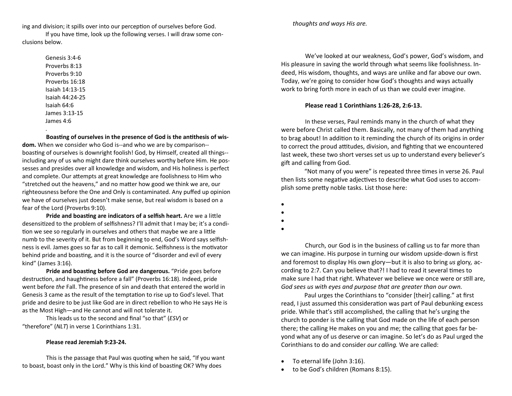ing and division; it spills over into our perception of ourselves before God.

If you have time, look up the following verses. I will draw some conclusions below.

> Genesis 3:4-6Proverbs 8:13Proverbs 9:10Proverbs 16:18Isaiah 14:13-15 Isaiah 44:24-25 Isaiah 64:6 James 3:13-15James 4:6

**BoasƟng of ourselves in the presence of God is the anƟthesis of wis‐ dom.** When we consider who God is--and who we are by comparison- boasting of ourselves is downright foolish! God, by Himself, created all things-including any of us who might dare think ourselves worthy before Him. He possesses and presides over all knowledge and wisdom, and His holiness is perfect and complete. Our attempts at great knowledge are foolishness to Him who "stretched out the heavens," and no matter how good we think we are, our righteousness before the One and Only is contaminated. Any puffed up opinion we have of ourselves just doesn't make sense, but real wisdom is based on <sup>a</sup> fear of the Lord (Proverbs 9:10).

**Pride and boasƟng are indicators of <sup>a</sup> selfish heart.** Are we <sup>a</sup> liƩle desensitized to the problem of selfishness? I'll admit that I may be; it's a condition we see so regularly in ourselves and others that maybe we are a little numb to the severity of it. But from beginning to end, God's Word says selfishness is evil. James goes so far as to call it demonic. Selfishness is the motivator behind pride and boasting, and it is the source of "disorder and evil of every kind" (James 3:16).

**Pride and boasƟng before God are dangerous.** "Pride goes before destruction, and haughtiness before a fall" (Proverbs 16:18). Indeed, pride went before *the* Fall. The presence of sin and death that entered the world in Genesis 3 came as the result of the temptation to rise up to God's level. That pride and desire to be just like God are in direct rebellion to who He says He is as the Most High—and He cannot and will not tolerate it.

This leads us to the second and final "so that" (*ESV*) or "therefore" (*NLT*) in verse 1 Corinthians 1:31.

#### **Please read Jeremiah 9:23‐24.**

This is the passage that Paul was quoting when he said, "If you want to boast, boast only in the Lord." Why is this kind of boasting OK? Why does

*thoughts and ways His are.*

We've looked at our weakness, God's power, God's wisdom, and His pleasure in saving the world through what seems like foolishness. Indeed, His wisdom, thoughts, and ways are unlike and far above our own. Today, we're going to consider how God's thoughts and ways actually work to bring forth more in each of us than we could ever imagine.

#### **Please read 1 Corinthians 1:26‐28, 2:6‐13.**

In these verses, Paul reminds many in the church of what they were before Christ called them. Basically, not many of them had anything to brag about! In addition to it reminding the church of its origins in order to correct the proud attitudes, division, and fighting that we encountered last week, these two short verses set us up to understand every believer's gift and calling from God.

"Not many of you were" is repeated three times in verse 26. Paul then lists some negative adjectives to describe what God uses to accomplish some pretty noble tasks. List those here:

- $\bullet$
- $\bullet$
- $\bullet$
- $\bullet$

Church, our God is in the business of calling us to far more than we can imagine. His purpose in turning our wisdom upside-down is first and foremost to display His own glory—but it is also to bring *us* glory*,* according to 2:7. Can you believe that?! I had to read it several times to make sure I had that right. Whatever we believe we once were or still are, *God sees us with eyes and purpose that are greater than our own.*

Paul urges the Corinthians to "consider [their] calling." at first read, I just assumed this consideration was part of Paul debunking excess pride. While that's still accomplished, the calling that he's urging the church to ponder is the calling that God made on the life of each person there; the calling He makes on you and me; the calling that goes far beyond what any of us deserve or can imagine. So let's do as Paul urged the Corinthians to do and consider *our calling.* We are called:

- $\bullet$ To eternal life (John 3:16).
- $\bullet$ to be God's children (Romans 8:15).